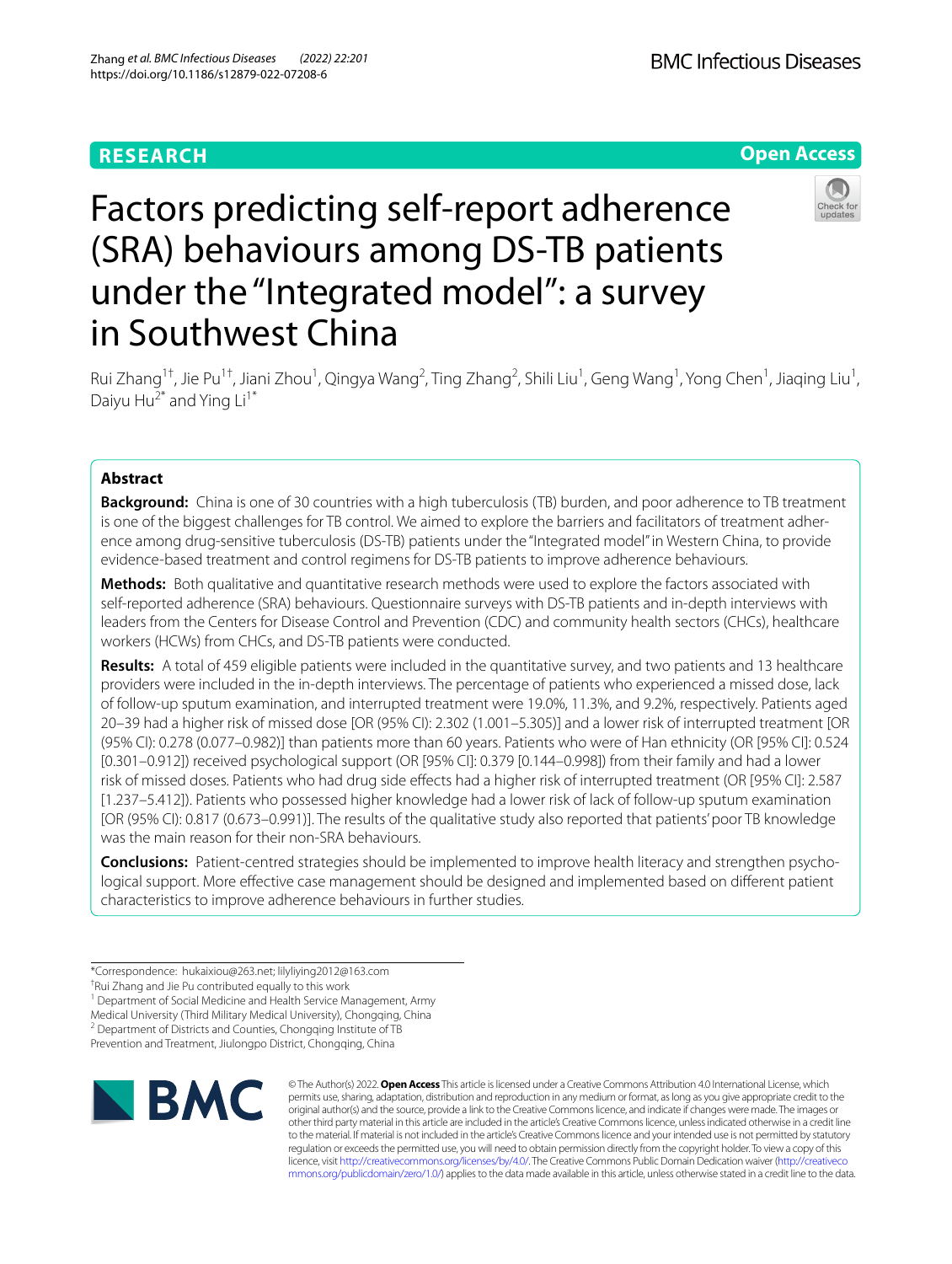# **RESEARCH**



# Factors predicting self-report adherence (SRA) behaviours among DS-TB patients under the "Integrated model": a survey in Southwest China



Rui Zhang<sup>1†</sup>, Jie Pu<sup>1†</sup>, Jiani Zhou<sup>1</sup>, Qingya Wang<sup>2</sup>, Ting Zhang<sup>2</sup>, Shili Liu<sup>1</sup>, Geng Wang<sup>1</sup>, Yong Chen<sup>1</sup>, Jiaqing Liu<sup>1</sup>, Daiyu Hu<sup>2\*</sup> and Ying  $Li^{1*}$ 

## **Abstract**

**Background:** China is one of 30 countries with a high tuberculosis (TB) burden, and poor adherence to TB treatment is one of the biggest challenges for TB control. We aimed to explore the barriers and facilitators of treatment adherence among drug-sensitive tuberculosis (DS-TB) patients under the "Integrated model" in Western China, to provide evidence-based treatment and control regimens for DS-TB patients to improve adherence behaviours.

**Methods:** Both qualitative and quantitative research methods were used to explore the factors associated with self-reported adherence (SRA) behaviours. Questionnaire surveys with DS-TB patients and in-depth interviews with leaders from the Centers for Disease Control and Prevention (CDC) and community health sectors (CHCs), healthcare workers (HCWs) from CHCs, and DS-TB patients were conducted.

**Results:** A total of 459 eligible patients were included in the quantitative survey, and two patients and 13 healthcare providers were included in the in-depth interviews. The percentage of patients who experienced a missed dose, lack of follow-up sputum examination, and interrupted treatment were 19.0%, 11.3%, and 9.2%, respectively. Patients aged 20–39 had a higher risk of missed dose [OR (95% CI): 2.302 (1.001–5.305)] and a lower risk of interrupted treatment [OR (95% CI): 0.278 (0.077–0.982)] than patients more than 60 years. Patients who were of Han ethnicity (OR [95% CI]: 0.524 [0.301–0.912]) received psychological support (OR [95% CI]: 0.379 [0.144–0.998]) from their family and had a lower risk of missed doses. Patients who had drug side efects had a higher risk of interrupted treatment (OR [95% CI]: 2.587 [1.237–5.412]). Patients who possessed higher knowledge had a lower risk of lack of follow-up sputum examination [OR (95% CI): 0.817 (0.673–0.991)]. The results of the qualitative study also reported that patients' poor TB knowledge was the main reason for their non-SRA behaviours.

**Conclusions:** Patient-centred strategies should be implemented to improve health literacy and strengthen psychological support. More efective case management should be designed and implemented based on diferent patient characteristics to improve adherence behaviours in further studies.

<sup>1</sup> Department of Social Medicine and Health Service Management, Army

Medical University (Third Military Medical University), Chongqing, China

<sup>2</sup> Department of Districts and Counties, Chongqing Institute of TB

Prevention and Treatment, Jiulongpo District, Chongqing, China



© The Author(s) 2022. **Open Access** This article is licensed under a Creative Commons Attribution 4.0 International License, which permits use, sharing, adaptation, distribution and reproduction in any medium or format, as long as you give appropriate credit to the original author(s) and the source, provide a link to the Creative Commons licence, and indicate if changes were made. The images or other third party material in this article are included in the article's Creative Commons licence, unless indicated otherwise in a credit line to the material. If material is not included in the article's Creative Commons licence and your intended use is not permitted by statutory regulation or exceeds the permitted use, you will need to obtain permission directly from the copyright holder. To view a copy of this licence, visit [http://creativecommons.org/licenses/by/4.0/.](http://creativecommons.org/licenses/by/4.0/) The Creative Commons Public Domain Dedication waiver ([http://creativeco](http://creativecommons.org/publicdomain/zero/1.0/) [mmons.org/publicdomain/zero/1.0/](http://creativecommons.org/publicdomain/zero/1.0/)) applies to the data made available in this article, unless otherwise stated in a credit line to the data.

<sup>\*</sup>Correspondence: hukaixiou@263.net; lilyliying2012@163.com

<sup>†</sup> Rui Zhang and Jie Pu contributed equally to this work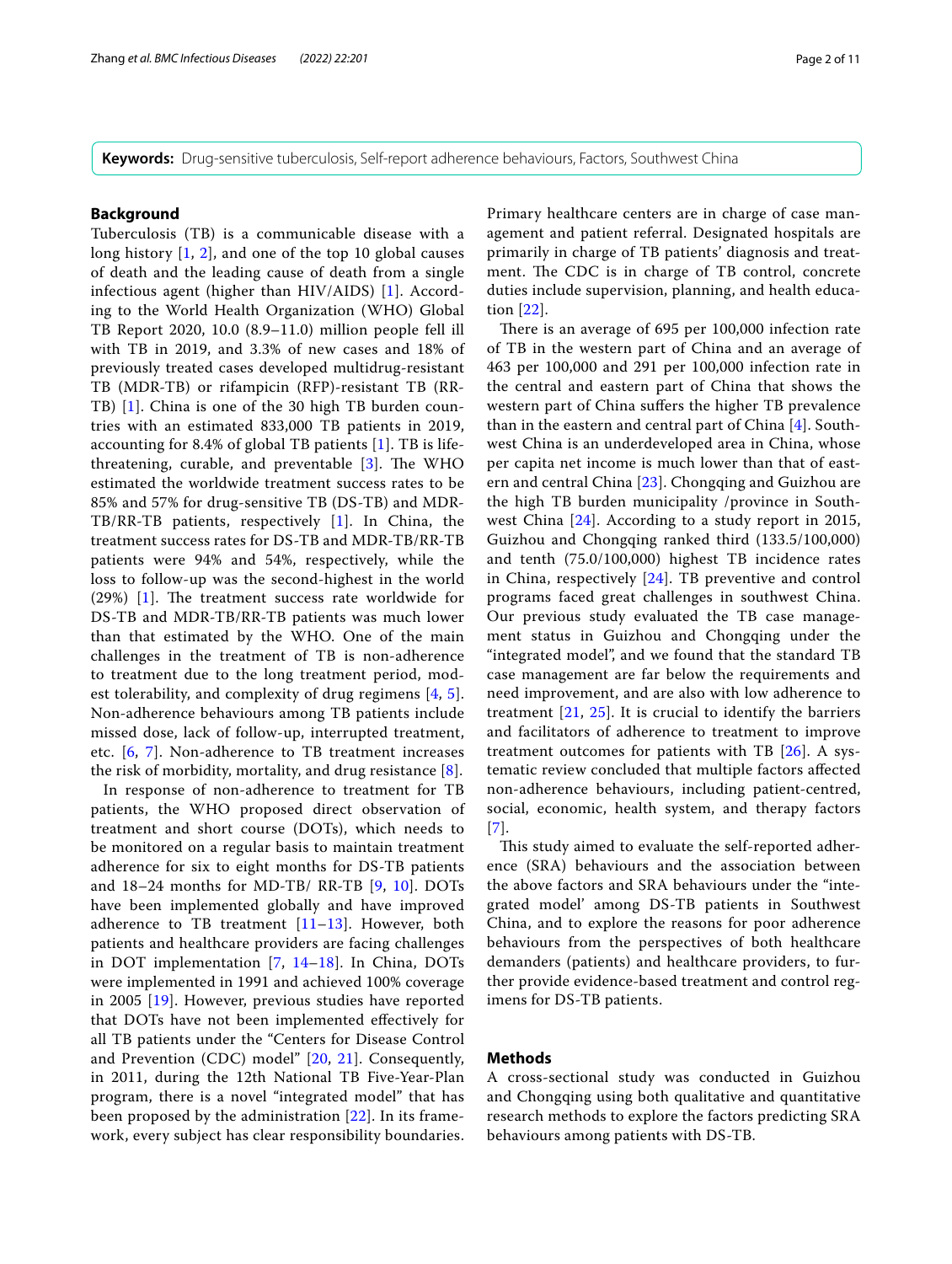**Keywords:** Drug-sensitive tuberculosis, Self-report adherence behaviours, Factors, Southwest China

## **Background**

Tuberculosis (TB) is a communicable disease with a long history [\[1,](#page-9-0) [2](#page-9-1)], and one of the top 10 global causes of death and the leading cause of death from a single infectious agent (higher than HIV/AIDS) [[1\]](#page-9-0). According to the World Health Organization (WHO) Global TB Report 2020, 10.0 (8.9–11.0) million people fell ill with TB in 2019, and 3.3% of new cases and 18% of previously treated cases developed multidrug-resistant TB (MDR-TB) or rifampicin (RFP)-resistant TB (RR-TB) [[1\]](#page-9-0). China is one of the 30 high TB burden countries with an estimated 833,000 TB patients in 2019, accounting for 8.4% of global TB patients [[1](#page-9-0)]. TB is lifethreatening, curable, and preventable  $[3]$  $[3]$ . The WHO estimated the worldwide treatment success rates to be 85% and 57% for drug-sensitive TB (DS-TB) and MDR-TB/RR-TB patients, respectively [\[1](#page-9-0)]. In China, the treatment success rates for DS-TB and MDR-TB/RR-TB patients were 94% and 54%, respectively, while the loss to follow-up was the second-highest in the world (29%)  $[1]$  $[1]$ . The treatment success rate worldwide for DS-TB and MDR-TB/RR-TB patients was much lower than that estimated by the WHO. One of the main challenges in the treatment of TB is non-adherence to treatment due to the long treatment period, modest tolerability, and complexity of drug regimens [\[4,](#page-9-3) [5\]](#page-9-4). Non-adherence behaviours among TB patients include missed dose, lack of follow-up, interrupted treatment, etc. [\[6](#page-9-5), [7](#page-9-6)]. Non-adherence to TB treatment increases the risk of morbidity, mortality, and drug resistance [[8](#page-9-7)].

In response of non-adherence to treatment for TB patients, the WHO proposed direct observation of treatment and short course (DOTs), which needs to be monitored on a regular basis to maintain treatment adherence for six to eight months for DS-TB patients and 18–24 months for MD-TB/ RR-TB [\[9,](#page-9-8) [10\]](#page-9-9). DOTs have been implemented globally and have improved adherence to TB treatment  $[11-13]$  $[11-13]$ . However, both patients and healthcare providers are facing challenges in DOT implementation [[7](#page-9-6), [14](#page-9-12)[–18](#page-9-13)]. In China, DOTs were implemented in 1991 and achieved 100% coverage in 2005 [[19\]](#page-9-14). However, previous studies have reported that DOTs have not been implemented efectively for all TB patients under the "Centers for Disease Control and Prevention (CDC) model" [[20](#page-9-15), [21](#page-9-16)]. Consequently, in 2011, during the 12th National TB Five-Year-Plan program, there is a novel "integrated model" that has been proposed by the administration [\[22](#page-9-17)]. In its framework, every subject has clear responsibility boundaries. Primary healthcare centers are in charge of case management and patient referral. Designated hospitals are primarily in charge of TB patients' diagnosis and treatment. The CDC is in charge of TB control, concrete duties include supervision, planning, and health education [[22\]](#page-9-17).

There is an average of 695 per 100,000 infection rate of TB in the western part of China and an average of 463 per 100,000 and 291 per 100,000 infection rate in the central and eastern part of China that shows the western part of China sufers the higher TB prevalence than in the eastern and central part of China [[4](#page-9-3)]. Southwest China is an underdeveloped area in China, whose per capita net income is much lower than that of eastern and central China [[23\]](#page-9-18). Chongqing and Guizhou are the high TB burden municipality /province in Southwest China [[24\]](#page-9-19). According to a study report in 2015, Guizhou and Chongqing ranked third (133.5/100,000) and tenth (75.0/100,000) highest TB incidence rates in China, respectively [\[24](#page-9-19)]. TB preventive and control programs faced great challenges in southwest China. Our previous study evaluated the TB case management status in Guizhou and Chongqing under the "integrated model", and we found that the standard TB case management are far below the requirements and need improvement, and are also with low adherence to treatment  $[21, 25]$  $[21, 25]$  $[21, 25]$  $[21, 25]$  $[21, 25]$ . It is crucial to identify the barriers and facilitators of adherence to treatment to improve treatment outcomes for patients with TB  $[26]$ . A systematic review concluded that multiple factors afected non-adherence behaviours, including patient-centred, social, economic, health system, and therapy factors [[7](#page-9-6)].

This study aimed to evaluate the self-reported adherence (SRA) behaviours and the association between the above factors and SRA behaviours under the "integrated model' among DS-TB patients in Southwest China, and to explore the reasons for poor adherence behaviours from the perspectives of both healthcare demanders (patients) and healthcare providers, to further provide evidence-based treatment and control regimens for DS-TB patients.

## **Methods**

A cross-sectional study was conducted in Guizhou and Chongqing using both qualitative and quantitative research methods to explore the factors predicting SRA behaviours among patients with DS-TB.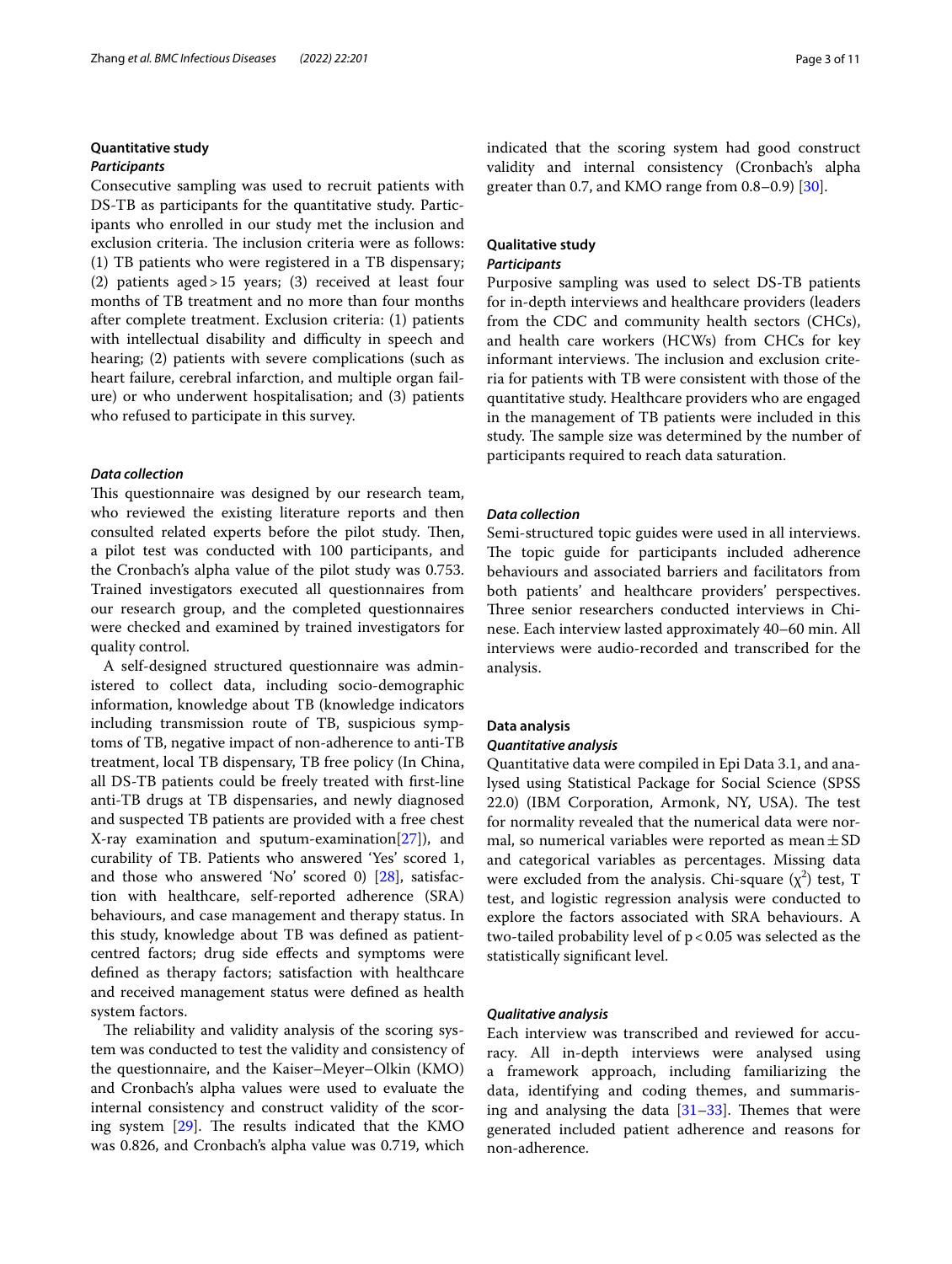# **Quantitative study**

### *Participants*

Consecutive sampling was used to recruit patients with DS-TB as participants for the quantitative study. Participants who enrolled in our study met the inclusion and exclusion criteria. The inclusion criteria were as follows: (1) TB patients who were registered in a TB dispensary; (2) patients aged>15 years; (3) received at least four months of TB treatment and no more than four months after complete treatment. Exclusion criteria: (1) patients with intellectual disability and difficulty in speech and hearing; (2) patients with severe complications (such as heart failure, cerebral infarction, and multiple organ failure) or who underwent hospitalisation; and (3) patients who refused to participate in this survey.

#### *Data collection*

This questionnaire was designed by our research team, who reviewed the existing literature reports and then consulted related experts before the pilot study. Then, a pilot test was conducted with 100 participants, and the Cronbach's alpha value of the pilot study was 0.753. Trained investigators executed all questionnaires from our research group, and the completed questionnaires were checked and examined by trained investigators for quality control.

A self-designed structured questionnaire was administered to collect data, including socio-demographic information, knowledge about TB (knowledge indicators including transmission route of TB, suspicious symptoms of TB, negative impact of non-adherence to anti-TB treatment, local TB dispensary, TB free policy (In China, all DS-TB patients could be freely treated with frst-line anti-TB drugs at TB dispensaries, and newly diagnosed and suspected TB patients are provided with a free chest X-ray examination and sputum-examination[\[27](#page-9-22)]), and curability of TB. Patients who answered 'Yes' scored 1, and those who answered 'No' scored 0) [\[28](#page-9-23)], satisfaction with healthcare, self-reported adherence (SRA) behaviours, and case management and therapy status. In this study, knowledge about TB was defned as patientcentred factors; drug side efects and symptoms were defned as therapy factors; satisfaction with healthcare and received management status were defned as health system factors.

The reliability and validity analysis of the scoring system was conducted to test the validity and consistency of the questionnaire, and the Kaiser–Meyer–Olkin (KMO) and Cronbach's alpha values were used to evaluate the internal consistency and construct validity of the scoring system  $[29]$ . The results indicated that the KMO was 0.826, and Cronbach's alpha value was 0.719, which indicated that the scoring system had good construct validity and internal consistency (Cronbach's alpha greater than 0.7, and KMO range from 0.8–0.9) [[30\]](#page-9-25).

## **Qualitative study** *Participants*

Purposive sampling was used to select DS-TB patients for in-depth interviews and healthcare providers (leaders from the CDC and community health sectors (CHCs), and health care workers (HCWs) from CHCs for key informant interviews. The inclusion and exclusion criteria for patients with TB were consistent with those of the quantitative study. Healthcare providers who are engaged in the management of TB patients were included in this study. The sample size was determined by the number of participants required to reach data saturation.

## *Data collection*

Semi-structured topic guides were used in all interviews. The topic guide for participants included adherence behaviours and associated barriers and facilitators from both patients' and healthcare providers' perspectives. Three senior researchers conducted interviews in Chinese. Each interview lasted approximately 40–60 min. All interviews were audio-recorded and transcribed for the analysis.

#### **Data analysis**

#### *Quantitative analysis*

Quantitative data were compiled in Epi Data 3.1, and analysed using Statistical Package for Social Science (SPSS 22.0) (IBM Corporation, Armonk, NY, USA). The test for normality revealed that the numerical data were normal, so numerical variables were reported as mean  $\pm$  SD and categorical variables as percentages. Missing data were excluded from the analysis. Chi-square  $(\chi^2)$  test, T test, and logistic regression analysis were conducted to explore the factors associated with SRA behaviours. A two-tailed probability level of  $p < 0.05$  was selected as the statistically signifcant level.

#### *Qualitative analysis*

Each interview was transcribed and reviewed for accuracy. All in-depth interviews were analysed using a framework approach, including familiarizing the data, identifying and coding themes, and summarising and analysing the data  $[31-33]$  $[31-33]$  $[31-33]$ . Themes that were generated included patient adherence and reasons for non-adherence.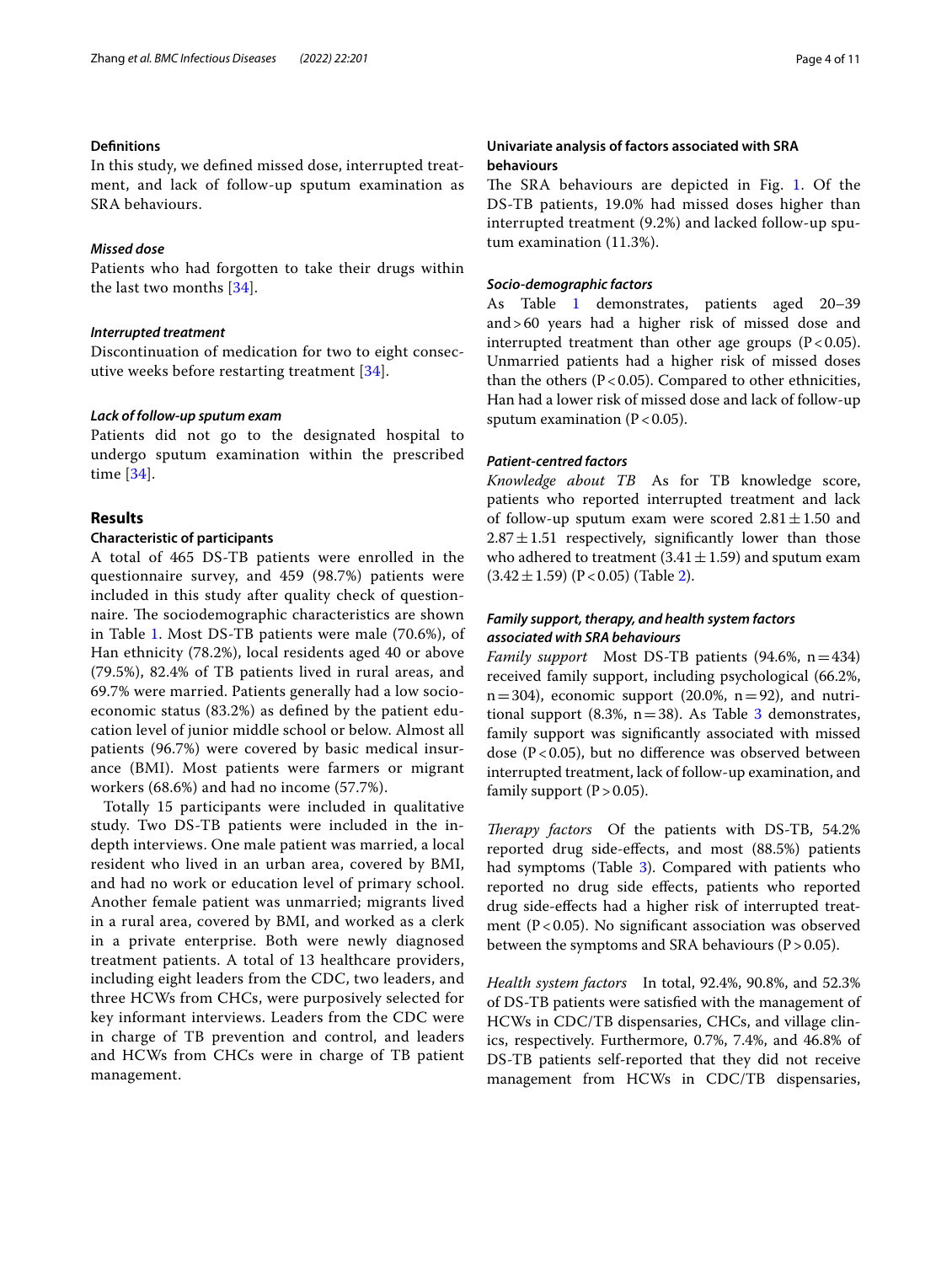#### **Defnitions**

In this study, we defned missed dose, interrupted treatment, and lack of follow-up sputum examination as SRA behaviours.

#### *Missed dose*

Patients who had forgotten to take their drugs within the last two months [[34\]](#page-10-1).

#### *Interrupted treatment*

Discontinuation of medication for two to eight consecutive weeks before restarting treatment [[34](#page-10-1)].

## *Lack of follow‑up sputum exam*

Patients did not go to the designated hospital to undergo sputum examination within the prescribed time [[34\]](#page-10-1).

## **Results**

## **Characteristic of participants**

A total of 465 DS-TB patients were enrolled in the questionnaire survey, and 459 (98.7%) patients were included in this study after quality check of questionnaire. The sociodemographic characteristics are shown in Table [1](#page-4-0). Most DS-TB patients were male (70.6%), of Han ethnicity (78.2%), local residents aged 40 or above (79.5%), 82.4% of TB patients lived in rural areas, and 69.7% were married. Patients generally had a low socioeconomic status (83.2%) as defned by the patient education level of junior middle school or below. Almost all patients (96.7%) were covered by basic medical insurance (BMI). Most patients were farmers or migrant workers (68.6%) and had no income (57.7%).

Totally 15 participants were included in qualitative study. Two DS-TB patients were included in the indepth interviews. One male patient was married, a local resident who lived in an urban area, covered by BMI, and had no work or education level of primary school. Another female patient was unmarried; migrants lived in a rural area, covered by BMI, and worked as a clerk in a private enterprise. Both were newly diagnosed treatment patients. A total of 13 healthcare providers, including eight leaders from the CDC, two leaders, and three HCWs from CHCs, were purposively selected for key informant interviews. Leaders from the CDC were in charge of TB prevention and control, and leaders and HCWs from CHCs were in charge of TB patient management.

## **Univariate analysis of factors associated with SRA behaviours**

The SRA behaviours are depicted in Fig. [1](#page-5-0). Of the DS-TB patients, 19.0% had missed doses higher than interrupted treatment (9.2%) and lacked follow-up sputum examination (11.3%).

## *Socio‑demographic factors*

As Table [1](#page-4-0) demonstrates, patients aged 20-39 and>60 years had a higher risk of missed dose and interrupted treatment than other age groups  $(P < 0.05)$ . Unmarried patients had a higher risk of missed doses than the others  $(P < 0.05)$ . Compared to other ethnicities, Han had a lower risk of missed dose and lack of follow-up sputum examination ( $P < 0.05$ ).

## *Patient‑centred factors*

*Knowledge about TB* As for TB knowledge score, patients who reported interrupted treatment and lack of follow-up sputum exam were scored  $2.81 \pm 1.50$  and  $2.87 \pm 1.51$  respectively, significantly lower than those who adhered to treatment  $(3.41 \pm 1.59)$  and sputum exam  $(3.42 \pm 1.59)$  (P < 0.05) (Table [2](#page-5-1)).

## *Family support, therapy, and health system factors associated with SRA behaviours*

*Family support* Most DS-TB patients (94.6%, n=434) received family support, including psychological (66.2%,  $n=304$ ), economic support (20.0%,  $n=92$ ), and nutritional support (8.3%,  $n=38$ ). As Table [3](#page-6-0) demonstrates, family support was signifcantly associated with missed dose ( $P < 0.05$ ), but no difference was observed between interrupted treatment, lack of follow-up examination, and family support  $(P>0.05)$ .

*Therapy factors* Of the patients with DS-TB, 54.2% reported drug side-efects, and most (88.5%) patients had symptoms (Table [3\)](#page-6-0). Compared with patients who reported no drug side efects, patients who reported drug side-efects had a higher risk of interrupted treatment ( $P < 0.05$ ). No significant association was observed between the symptoms and SRA behaviours  $(P > 0.05)$ .

*Health system factors* In total, 92.4%, 90.8%, and 52.3% of DS-TB patients were satisfed with the management of HCWs in CDC/TB dispensaries, CHCs, and village clinics, respectively. Furthermore, 0.7%, 7.4%, and 46.8% of DS-TB patients self-reported that they did not receive management from HCWs in CDC/TB dispensaries,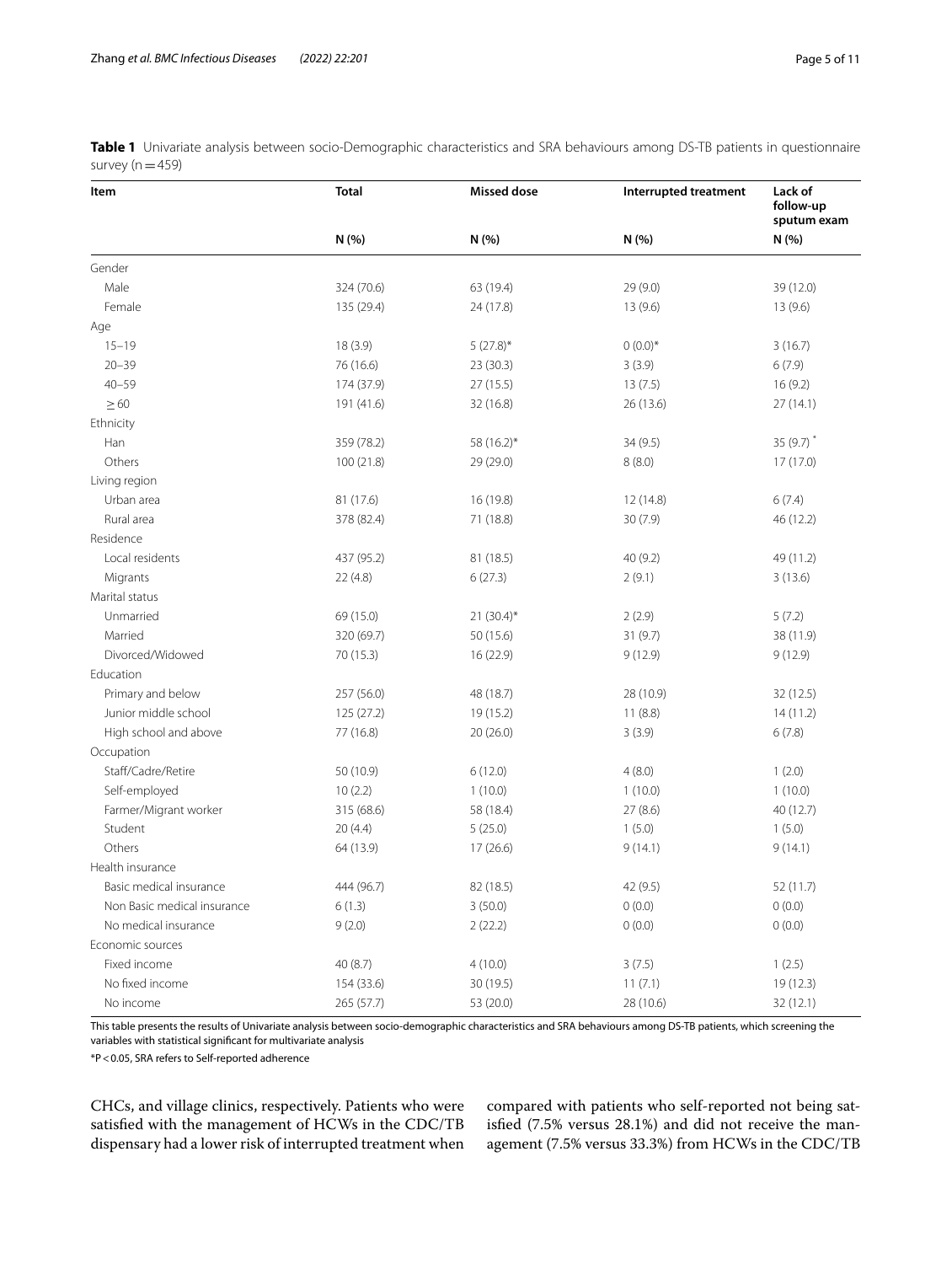| Item                        | <b>Total</b> | <b>Missed dose</b> | Interrupted treatment | Lack of<br>follow-up<br>sputum exam |  |
|-----------------------------|--------------|--------------------|-----------------------|-------------------------------------|--|
|                             | N (%)        | N (%)              | N (%)                 | N (%)                               |  |
| Gender                      |              |                    |                       |                                     |  |
| Male                        | 324 (70.6)   | 63 (19.4)          | 29 (9.0)              | 39 (12.0)                           |  |
| Female                      | 135 (29.4)   | 24 (17.8)          | 13(9.6)               | 13(9.6)                             |  |
| Age                         |              |                    |                       |                                     |  |
| $15 - 19$                   | 18(3.9)      | $5(27.8)$ *        | $0(0.0)*$             | 3(16.7)                             |  |
| $20 - 39$                   | 76 (16.6)    | 23(30.3)           | 3(3.9)                | 6(7.9)                              |  |
| $40 - 59$                   | 174 (37.9)   | 27(15.5)           | 13(7.5)               | 16(9.2)                             |  |
| $\geq 60$                   | 191 (41.6)   | 32 (16.8)          | 26 (13.6)             | 27(14.1)                            |  |
| Ethnicity                   |              |                    |                       |                                     |  |
| Han                         | 359 (78.2)   | 58 (16.2)*         | 34(9.5)               | $35(9.7)$ *                         |  |
| Others                      | 100(21.8)    | 29 (29.0)          | 8(8.0)                | 17(17.0)                            |  |
| Living region               |              |                    |                       |                                     |  |
| Urban area                  | 81 (17.6)    | 16 (19.8)          | 12 (14.8)             | 6(7.4)                              |  |
| Rural area                  | 378 (82.4)   | 71 (18.8)          | 30(7.9)               | 46 (12.2)                           |  |
| Residence                   |              |                    |                       |                                     |  |
| Local residents             | 437 (95.2)   | 81 (18.5)          | 40(9.2)               | 49 (11.2)                           |  |
| Migrants                    | 22(4.8)      | 6(27.3)            | 2(9.1)                | 3(13.6)                             |  |
| Marital status              |              |                    |                       |                                     |  |
| Unmarried                   | 69 (15.0)    | $21 (30.4)^*$      | 2(2.9)                | 5(7.2)                              |  |
| Married                     | 320 (69.7)   | 50 (15.6)          | 31(9.7)               | 38 (11.9)                           |  |
| Divorced/Widowed            | 70 (15.3)    | 16 (22.9)          | 9(12.9)               | 9(12.9)                             |  |
| Education                   |              |                    |                       |                                     |  |
| Primary and below           | 257 (56.0)   | 48 (18.7)          | 28 (10.9)             | 32 (12.5)                           |  |
| Junior middle school        | 125(27.2)    | 19 (15.2)          | 11(8.8)               | 14(11.2)                            |  |
| High school and above       | 77 (16.8)    | 20(26.0)           | 3(3.9)                | 6(7.8)                              |  |
| Occupation                  |              |                    |                       |                                     |  |
| Staff/Cadre/Retire          | 50 (10.9)    | 6(12.0)            | 4(8.0)                | 1(2.0)                              |  |
| Self-employed               | 10(2.2)      | 1(10.0)            | 1(10.0)               | 1(10.0)                             |  |
| Farmer/Migrant worker       | 315 (68.6)   | 58 (18.4)          | 27(8.6)               | 40 (12.7)                           |  |
| Student                     | 20(4.4)      | 5(25.0)            | 1(5.0)                | 1(5.0)                              |  |
| Others                      | 64 (13.9)    | 17(26.6)           | 9(14.1)               | 9(14.1)                             |  |
| Health insurance            |              |                    |                       |                                     |  |
| Basic medical insurance     | 444 (96.7)   | 82 (18.5)          | 42 (9.5)              | 52 (11.7)                           |  |
| Non Basic medical insurance | 6(1.3)       | 3(50.0)            | 0(0.0)                | 0(0.0)                              |  |
| No medical insurance        | 9(2.0)       | 2(22.2)            | 0(0.0)                | 0(0.0)                              |  |
| Economic sources            |              |                    |                       |                                     |  |
| Fixed income                | 40 (8.7)     | 4(10.0)            | 3(7.5)                | 1(2.5)                              |  |
| No fixed income             | 154 (33.6)   | 30 (19.5)          | 11(7.1)               | 19 (12.3)                           |  |
| No income                   | 265 (57.7)   | 53 (20.0)          | 28 (10.6)             | 32 (12.1)                           |  |

<span id="page-4-0"></span>**Table 1** Univariate analysis between socio-Demographic characteristics and SRA behaviours among DS-TB patients in questionnaire survey ( $n=459$ )

This table presents the results of Univariate analysis between socio-demographic characteristics and SRA behaviours among DS-TB patients, which screening the variables with statistical signifcant for multivariate analysis

\*P<0.05, SRA refers to Self-reported adherence

CHCs, and village clinics, respectively. Patients who were satisfed with the management of HCWs in the CDC/TB dispensary had a lower risk of interrupted treatment when

compared with patients who self-reported not being satisfed (7.5% versus 28.1%) and did not receive the management (7.5% versus 33.3%) from HCWs in the CDC/TB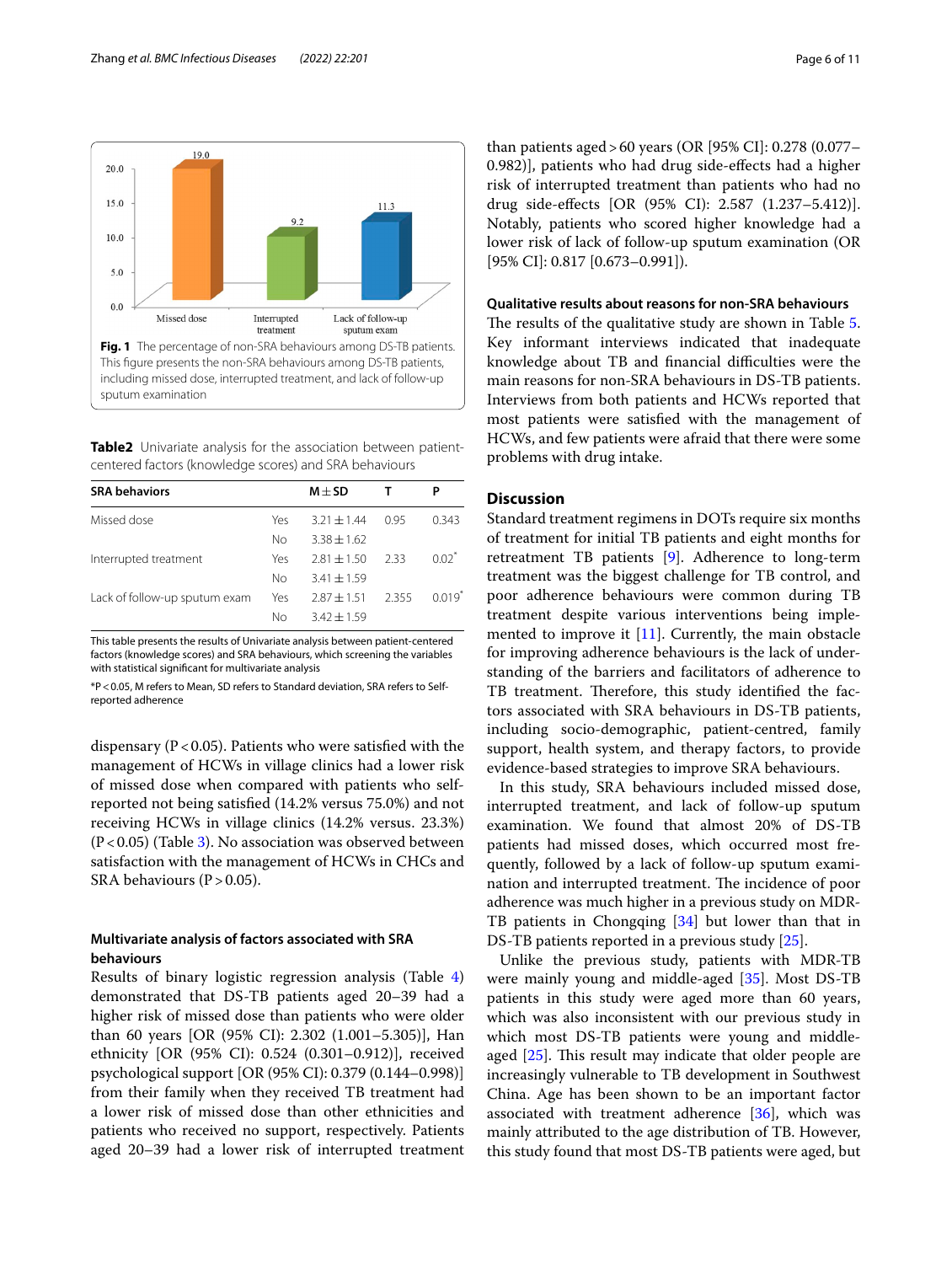



<span id="page-5-1"></span><span id="page-5-0"></span>**Table2** Univariate analysis for the association between patientcentered factors (knowledge scores) and SRA behaviours

| <b>SRA behaviors</b>          |     | $M + SD$        |       |          |
|-------------------------------|-----|-----------------|-------|----------|
| Missed dose                   | Yes | $3.21 \pm 1.44$ | 0.95  | 0.343    |
|                               | Nο  | $3.38 + 1.62$   |       |          |
| Interrupted treatment         | Yes | $2.81 \pm 1.50$ | 2.33  | $0.02^*$ |
|                               | Νo  | $3.41 \pm 1.59$ |       |          |
| Lack of follow-up sputum exam | Yes | $2.87 + 1.51$   | 2.355 | $0.019*$ |
|                               | Νo  | $3.42 \pm 1.59$ |       |          |
|                               |     |                 |       |          |

This table presents the results of Univariate analysis between patient-centered factors (knowledge scores) and SRA behaviours, which screening the variables with statistical signifcant for multivariate analysis

\*P<0.05, M refers to Mean, SD refers to Standard deviation, SRA refers to Selfreported adherence

dispensary ( $P < 0.05$ ). Patients who were satisfied with the management of HCWs in village clinics had a lower risk of missed dose when compared with patients who selfreported not being satisfed (14.2% versus 75.0%) and not receiving HCWs in village clinics (14.2% versus. 23.3%)  $(P<0.05)$  (Table [3](#page-6-0)). No association was observed between satisfaction with the management of HCWs in CHCs and SRA behaviours ( $P > 0.05$ ).

## **Multivariate analysis of factors associated with SRA behaviours**

Results of binary logistic regression analysis (Table [4](#page-7-0)) demonstrated that DS-TB patients aged 20–39 had a higher risk of missed dose than patients who were older than 60 years [OR (95% CI): 2.302 (1.001–5.305)], Han ethnicity [OR (95% CI): 0.524 (0.301–0.912)], received psychological support [OR (95% CI): 0.379 (0.144–0.998)] from their family when they received TB treatment had a lower risk of missed dose than other ethnicities and patients who received no support, respectively. Patients aged 20–39 had a lower risk of interrupted treatment

than patients aged>60 years (OR [95% CI]: 0.278 (0.077– 0.982)], patients who had drug side-efects had a higher risk of interrupted treatment than patients who had no drug side-efects [OR (95% CI): 2.587 (1.237–5.412)]. Notably, patients who scored higher knowledge had a lower risk of lack of follow-up sputum examination (OR [95% CI]: 0.817 [0.673-0.991]).

## **Qualitative results about reasons for non-SRA behaviours**

The results of the qualitative study are shown in Table [5](#page-8-0). Key informant interviews indicated that inadequate knowledge about TB and financial difficulties were the main reasons for non-SRA behaviours in DS-TB patients. Interviews from both patients and HCWs reported that most patients were satisfed with the management of HCWs, and few patients were afraid that there were some problems with drug intake.

## **Discussion**

Standard treatment regimens in DOTs require six months of treatment for initial TB patients and eight months for retreatment TB patients [[9\]](#page-9-8). Adherence to long-term treatment was the biggest challenge for TB control, and poor adherence behaviours were common during TB treatment despite various interventions being implemented to improve it  $[11]$ . Currently, the main obstacle for improving adherence behaviours is the lack of understanding of the barriers and facilitators of adherence to TB treatment. Therefore, this study identified the factors associated with SRA behaviours in DS-TB patients, including socio-demographic, patient-centred, family support, health system, and therapy factors, to provide evidence-based strategies to improve SRA behaviours.

In this study, SRA behaviours included missed dose, interrupted treatment, and lack of follow-up sputum examination. We found that almost 20% of DS-TB patients had missed doses, which occurred most frequently, followed by a lack of follow-up sputum examination and interrupted treatment. The incidence of poor adherence was much higher in a previous study on MDR-TB patients in Chongqing [\[34\]](#page-10-1) but lower than that in DS-TB patients reported in a previous study [\[25](#page-9-20)].

Unlike the previous study, patients with MDR-TB were mainly young and middle-aged [[35\]](#page-10-2). Most DS-TB patients in this study were aged more than 60 years, which was also inconsistent with our previous study in which most DS-TB patients were young and middleaged  $[25]$ . This result may indicate that older people are increasingly vulnerable to TB development in Southwest China. Age has been shown to be an important factor associated with treatment adherence  $[36]$  $[36]$ , which was mainly attributed to the age distribution of TB. However, this study found that most DS-TB patients were aged, but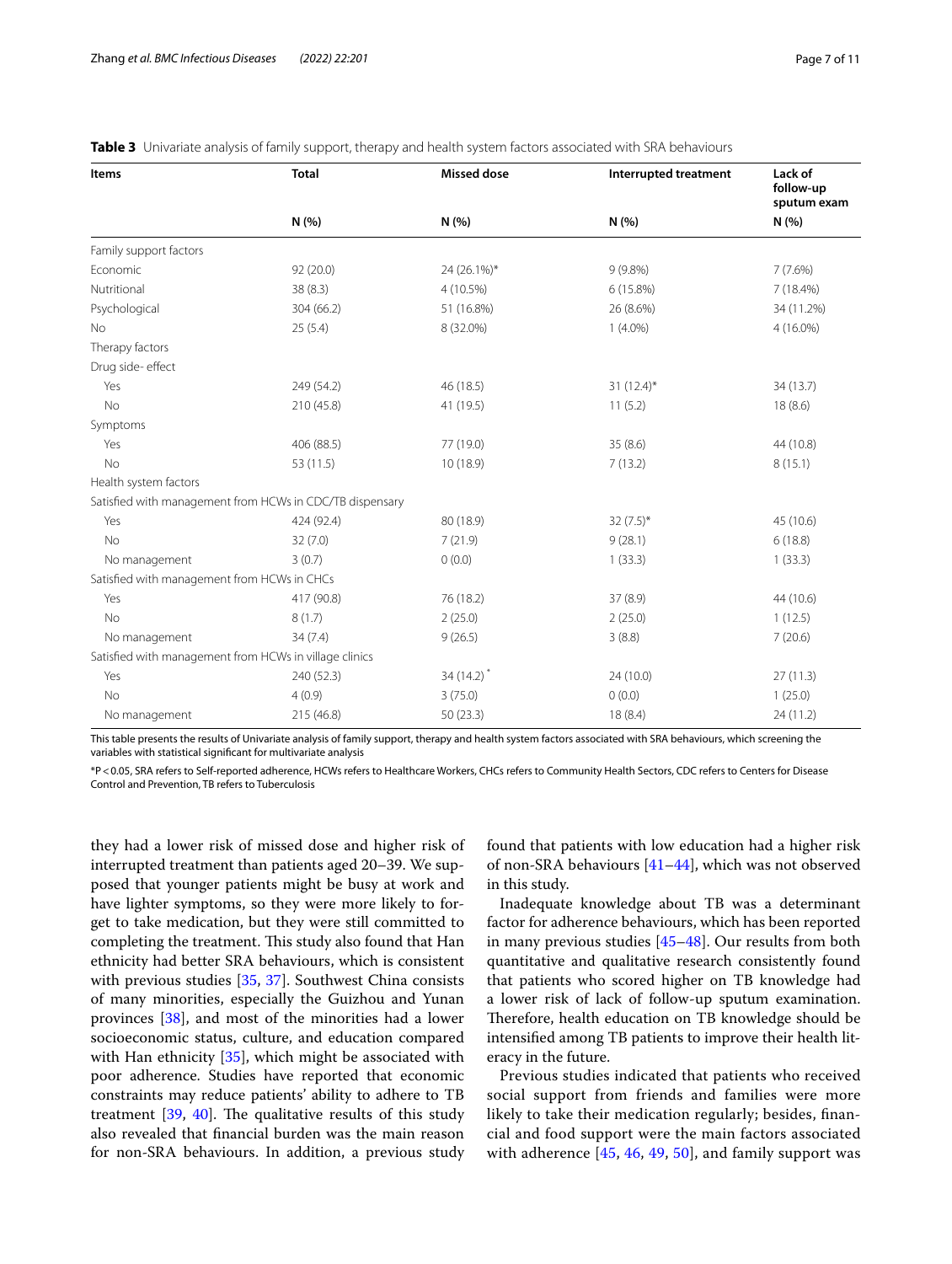| Items                                                    | <b>Total</b> | <b>Missed dose</b>      | Interrupted treatment | Lack of<br>follow-up<br>sputum exam |
|----------------------------------------------------------|--------------|-------------------------|-----------------------|-------------------------------------|
|                                                          | N (%)        | N(% )                   | N(%)                  | N(%)                                |
| Family support factors                                   |              |                         |                       |                                     |
| Economic                                                 | 92 (20.0)    | 24 (26.1%)*             | $9(9.8\%)$            | $7(7.6\%)$                          |
| Nutritional                                              | 38 (8.3)     | 4 (10.5%)               | 6(15.8%)              | 7 (18.4%)                           |
| Psychological                                            | 304 (66.2)   | 51 (16.8%)              | 26 (8.6%)             | 34 (11.2%)                          |
| <b>No</b>                                                | 25(5.4)      | 8 (32.0%)               | $1(4.0\%)$            | 4 (16.0%)                           |
| Therapy factors                                          |              |                         |                       |                                     |
| Drug side- effect                                        |              |                         |                       |                                     |
| Yes                                                      | 249 (54.2)   | 46 (18.5)               | $31 (12.4)^*$         | 34 (13.7)                           |
| No                                                       | 210 (45.8)   | 41 (19.5)               | 11(5.2)               | 18(8.6)                             |
| Symptoms                                                 |              |                         |                       |                                     |
| Yes                                                      | 406 (88.5)   | 77 (19.0)               | 35(8.6)               | 44 (10.8)                           |
| <b>No</b>                                                | 53 (11.5)    | 10 (18.9)               | 7(13.2)               | 8(15.1)                             |
| Health system factors                                    |              |                         |                       |                                     |
| Satisfied with management from HCWs in CDC/TB dispensary |              |                         |                       |                                     |
| Yes                                                      | 424 (92.4)   | 80 (18.9)               | $32(7.5)$ *           | 45 (10.6)                           |
| No                                                       | 32(7.0)      | 7(21.9)                 | 9(28.1)               | 6(18.8)                             |
| No management                                            | 3(0.7)       | 0(0.0)                  | 1(33.3)               | 1(33.3)                             |
| Satisfied with management from HCWs in CHCs              |              |                         |                       |                                     |
| Yes                                                      | 417 (90.8)   | 76 (18.2)               | 37(8.9)               | 44 (10.6)                           |
| <b>No</b>                                                | 8(1.7)       | 2(25.0)                 | 2(25.0)               | 1(12.5)                             |
| No management                                            | 34(7.4)      | 9(26.5)                 | 3(8.8)                | 7(20.6)                             |
| Satisfied with management from HCWs in village clinics   |              |                         |                       |                                     |
| Yes                                                      | 240 (52.3)   | $34(14.2)$ <sup>*</sup> | 24(10.0)              | 27(11.3)                            |
| <b>No</b>                                                | 4(0.9)       | 3(75.0)                 | 0(0.0)                | 1(25.0)                             |
| No management                                            | 215 (46.8)   | 50(23.3)                | 18 (8.4)              | 24 (11.2)                           |

<span id="page-6-0"></span>

|  |  |  |  | Table 3 Univariate analysis of family support, therapy and health system factors associated with SRA behaviours |
|--|--|--|--|-----------------------------------------------------------------------------------------------------------------|
|--|--|--|--|-----------------------------------------------------------------------------------------------------------------|

This table presents the results of Univariate analysis of family support, therapy and health system factors associated with SRA behaviours, which screening the variables with statistical signifcant for multivariate analysis

\*P<0.05, SRA refers to Self-reported adherence, HCWs refers to Healthcare Workers, CHCs refers to Community Health Sectors, CDC refers to Centers for Disease Control and Prevention, TB refers to Tuberculosis

they had a lower risk of missed dose and higher risk of interrupted treatment than patients aged 20–39. We supposed that younger patients might be busy at work and have lighter symptoms, so they were more likely to forget to take medication, but they were still committed to completing the treatment. This study also found that Han ethnicity had better SRA behaviours, which is consistent with previous studies [\[35,](#page-10-2) [37](#page-10-4)]. Southwest China consists of many minorities, especially the Guizhou and Yunan provinces [\[38](#page-10-5)], and most of the minorities had a lower socioeconomic status, culture, and education compared with Han ethnicity [[35\]](#page-10-2), which might be associated with poor adherence. Studies have reported that economic constraints may reduce patients' ability to adhere to TB treatment  $[39, 40]$  $[39, 40]$  $[39, 40]$  $[39, 40]$ . The qualitative results of this study also revealed that fnancial burden was the main reason for non-SRA behaviours. In addition, a previous study found that patients with low education had a higher risk of non-SRA behaviours [\[41–](#page-10-8)[44\]](#page-10-9), which was not observed in this study.

Inadequate knowledge about TB was a determinant factor for adherence behaviours, which has been reported in many previous studies [\[45](#page-10-10)[–48\]](#page-10-11). Our results from both quantitative and qualitative research consistently found that patients who scored higher on TB knowledge had a lower risk of lack of follow-up sputum examination. Therefore, health education on TB knowledge should be intensifed among TB patients to improve their health literacy in the future.

Previous studies indicated that patients who received social support from friends and families were more likely to take their medication regularly; besides, fnancial and food support were the main factors associated with adherence  $[45, 46, 49, 50]$  $[45, 46, 49, 50]$  $[45, 46, 49, 50]$  $[45, 46, 49, 50]$  $[45, 46, 49, 50]$  $[45, 46, 49, 50]$  $[45, 46, 49, 50]$  $[45, 46, 49, 50]$  $[45, 46, 49, 50]$ , and family support was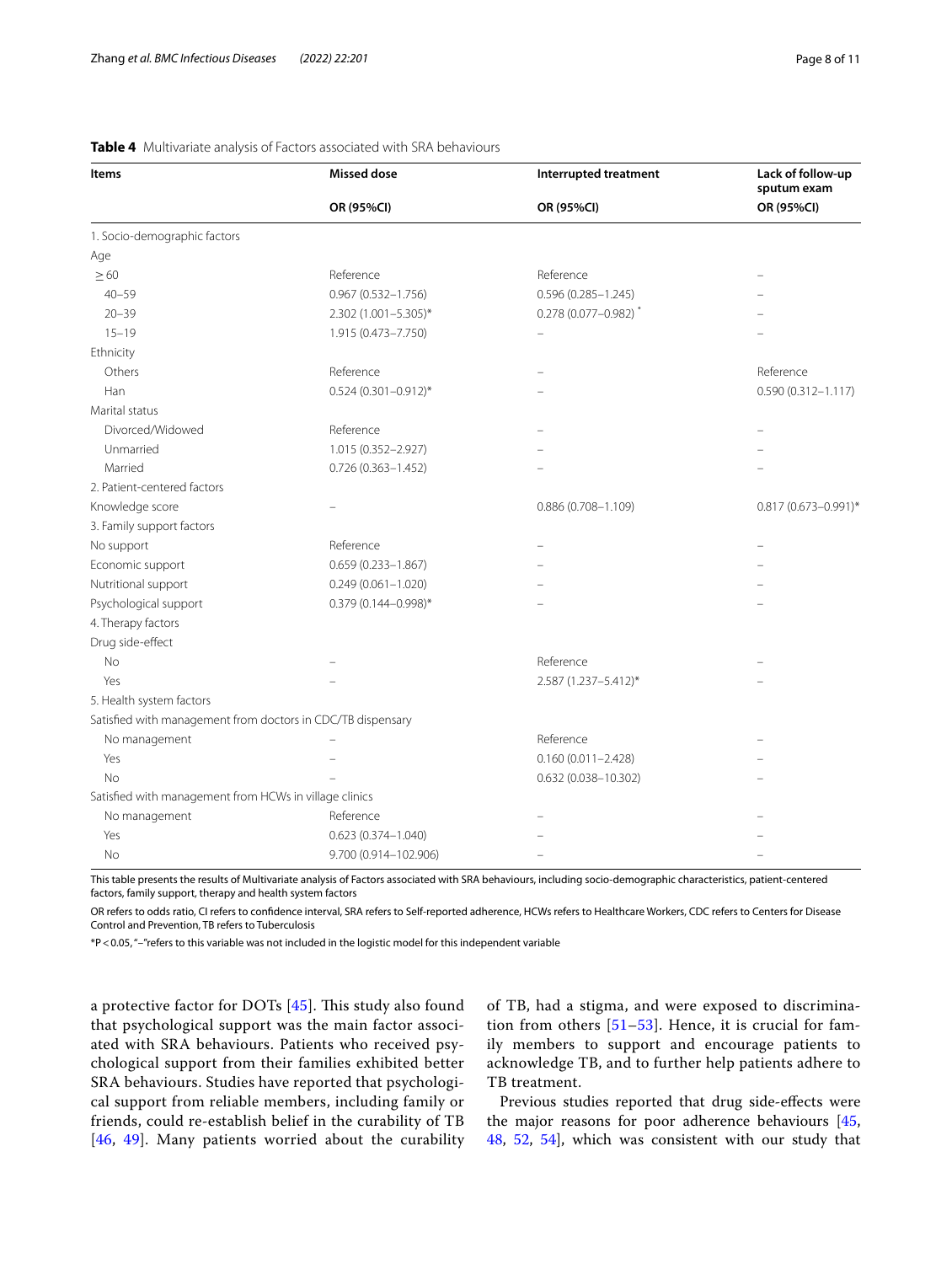| <b>Items</b>                                                | <b>Missed dose</b>         | Interrupted treatment      | Lack of follow-up<br>sputum exam |  |
|-------------------------------------------------------------|----------------------------|----------------------------|----------------------------------|--|
|                                                             | OR (95%CI)                 | OR (95%CI)                 | OR (95%CI)                       |  |
| 1. Socio-demographic factors                                |                            |                            |                                  |  |
| Age                                                         |                            |                            |                                  |  |
| $\geq 60$                                                   | Reference                  | Reference                  |                                  |  |
| $40 - 59$                                                   | $0.967(0.532 - 1.756)$     | $0.596(0.285 - 1.245)$     |                                  |  |
| $20 - 39$                                                   | 2.302 (1.001-5.305)*       | $0.278(0.077 - 0.982)^{*}$ |                                  |  |
| $15 - 19$                                                   | 1.915 (0.473-7.750)        |                            |                                  |  |
| Ethnicity                                                   |                            |                            |                                  |  |
| Others                                                      | Reference                  |                            | Reference                        |  |
| Han                                                         | $0.524(0.301 - 0.912)^{*}$ |                            | $0.590(0.312 - 1.117)$           |  |
| Marital status                                              |                            |                            |                                  |  |
| Divorced/Widowed                                            | Reference                  |                            |                                  |  |
| Unmarried                                                   | 1.015 (0.352-2.927)        |                            |                                  |  |
| Married                                                     | $0.726(0.363 - 1.452)$     |                            |                                  |  |
| 2. Patient-centered factors                                 |                            |                            |                                  |  |
| Knowledge score                                             |                            | $0.886(0.708 - 1.109)$     | 0.817 (0.673-0.991)*             |  |
| 3. Family support factors                                   |                            |                            |                                  |  |
| No support                                                  | Reference                  |                            |                                  |  |
| Economic support                                            | $0.659(0.233 - 1.867)$     |                            |                                  |  |
| Nutritional support                                         | $0.249(0.061 - 1.020)$     |                            |                                  |  |
| Psychological support                                       | 0.379 (0.144-0.998)*       |                            |                                  |  |
| 4. Therapy factors                                          |                            |                            |                                  |  |
| Drug side-effect                                            |                            |                            |                                  |  |
| No                                                          |                            | Reference                  |                                  |  |
| Yes                                                         |                            | 2.587 (1.237-5.412)*       |                                  |  |
| 5. Health system factors                                    |                            |                            |                                  |  |
| Satisfied with management from doctors in CDC/TB dispensary |                            |                            |                                  |  |
| No management                                               |                            | Reference                  |                                  |  |
| Yes                                                         |                            | $0.160(0.011 - 2.428)$     |                                  |  |
| No                                                          |                            | 0.632 (0.038-10.302)       |                                  |  |
| Satisfied with management from HCWs in village clinics      |                            |                            |                                  |  |
| No management                                               | Reference                  |                            |                                  |  |
| Yes                                                         | $0.623(0.374 - 1.040)$     |                            |                                  |  |
| No                                                          | 9.700 (0.914-102.906)      |                            |                                  |  |

## <span id="page-7-0"></span>**Table 4** Multivariate analysis of Factors associated with SRA behaviours

This table presents the results of Multivariate analysis of Factors associated with SRA behaviours, including socio-demographic characteristics, patient-centered factors, family support, therapy and health system factors

OR refers to odds ratio, CI refers to confdence interval, SRA refers to Self-reported adherence, HCWs refers to Healthcare Workers, CDC refers to Centers for Disease Control and Prevention, TB refers to Tuberculosis

\*P<0.05, "–"refers to this variable was not included in the logistic model for this independent variable

a protective factor for DOTs  $[45]$ . This study also found that psychological support was the main factor associated with SRA behaviours. Patients who received psychological support from their families exhibited better SRA behaviours. Studies have reported that psychological support from reliable members, including family or friends, could re-establish belief in the curability of TB [[46](#page-10-12), [49](#page-10-13)]. Many patients worried about the curability of TB, had a stigma, and were exposed to discrimination from others  $[51–53]$  $[51–53]$  $[51–53]$  $[51–53]$ . Hence, it is crucial for family members to support and encourage patients to acknowledge TB, and to further help patients adhere to TB treatment.

Previous studies reported that drug side-efects were the major reasons for poor adherence behaviours [[45](#page-10-10), [48,](#page-10-11) [52](#page-10-17), [54](#page-10-18)], which was consistent with our study that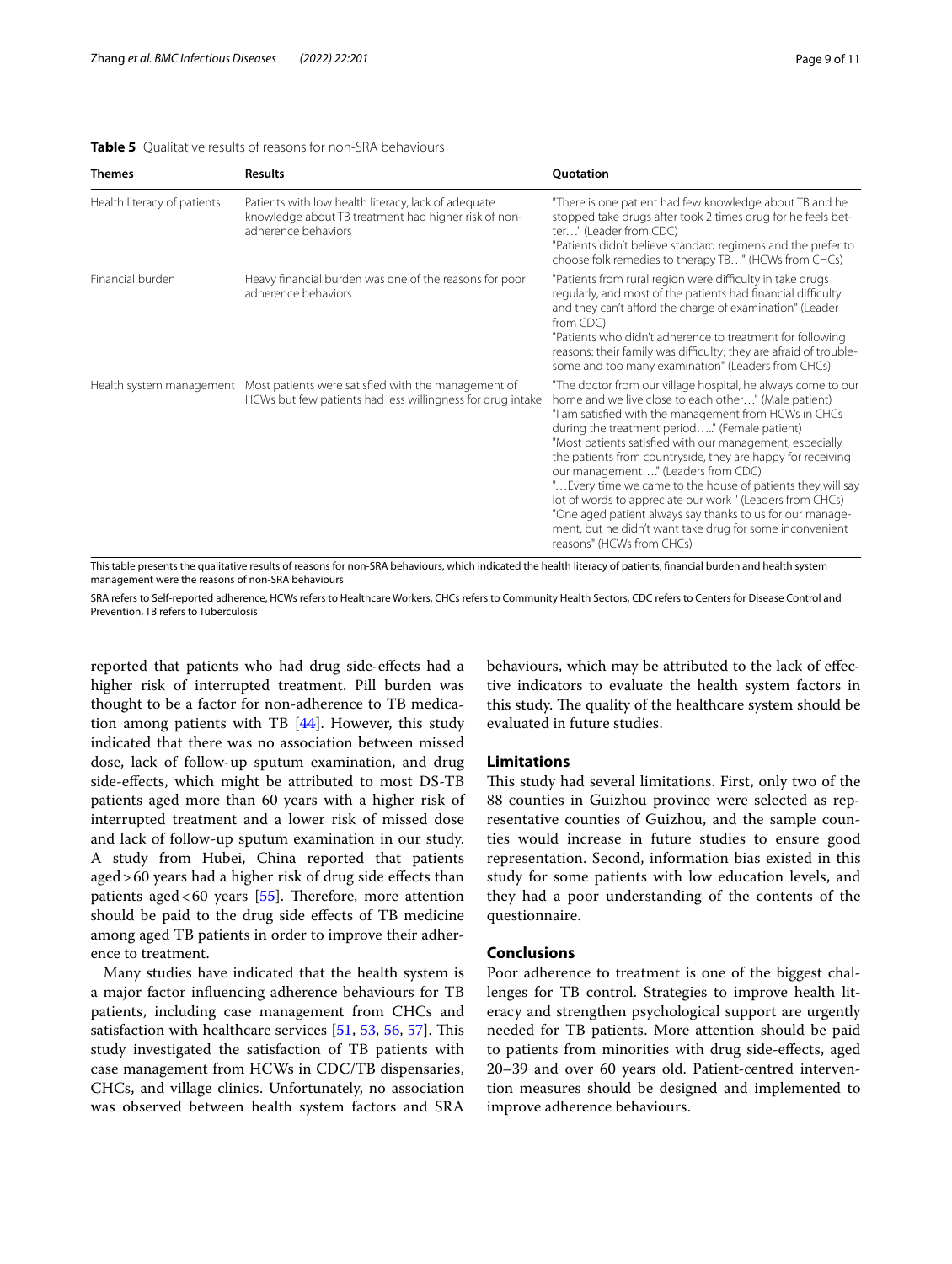<span id="page-8-0"></span>

| <b>Table 5</b> Qualitative results of reasons for non-SRA behaviours |  |
|----------------------------------------------------------------------|--|
|----------------------------------------------------------------------|--|

| <b>Themes</b>               | <b>Results</b>                                                                                                                             | Quotation                                                                                                                                                                                                                                                                                                                                                                                                                                                                                                                                                                                                                                                                         |
|-----------------------------|--------------------------------------------------------------------------------------------------------------------------------------------|-----------------------------------------------------------------------------------------------------------------------------------------------------------------------------------------------------------------------------------------------------------------------------------------------------------------------------------------------------------------------------------------------------------------------------------------------------------------------------------------------------------------------------------------------------------------------------------------------------------------------------------------------------------------------------------|
| Health literacy of patients | Patients with low health literacy, lack of adequate<br>knowledge about TB treatment had higher risk of non-<br>adherence behaviors         | "There is one patient had few knowledge about TB and he<br>stopped take drugs after took 2 times drug for he feels bet-<br>ter" (Leader from CDC)<br>"Patients didn't believe standard regimens and the prefer to<br>choose folk remedies to therapy TB" (HCWs from CHCs)                                                                                                                                                                                                                                                                                                                                                                                                         |
| Financial burden            | Heavy financial burden was one of the reasons for poor<br>adherence behaviors                                                              | "Patients from rural region were difficulty in take drugs<br>regularly, and most of the patients had financial difficulty<br>and they can't afford the charge of examination" (Leader<br>from CDC)<br>"Patients who didn't adherence to treatment for following<br>reasons: their family was difficulty; they are afraid of trouble-<br>some and too many examination" (Leaders from CHCs)                                                                                                                                                                                                                                                                                        |
|                             | Health system management Most patients were satisfied with the management of<br>HCWs but few patients had less willingness for drug intake | "The doctor from our village hospital, he always come to our<br>home and we live close to each other" (Male patient)<br>"I am satisfied with the management from HCWs in CHCs<br>during the treatment period" (Female patient)<br>"Most patients satisfied with our management, especially<br>the patients from countryside, they are happy for receiving<br>our management" (Leaders from CDC)<br>" Every time we came to the house of patients they will say<br>lot of words to appreciate our work " (Leaders from CHCs)<br>"One aged patient always say thanks to us for our manage-<br>ment, but he didn't want take drug for some inconvenient<br>reasons" (HCWs from CHCs) |

This table presents the qualitative results of reasons for non-SRA behaviours, which indicated the health literacy of patients, fnancial burden and health system management were the reasons of non-SRA behaviours

SRA refers to Self-reported adherence, HCWs refers to Healthcare Workers, CHCs refers to Community Health Sectors, CDC refers to Centers for Disease Control and Prevention, TB refers to Tuberculosis

reported that patients who had drug side-efects had a higher risk of interrupted treatment. Pill burden was thought to be a factor for non-adherence to TB medication among patients with TB [[44](#page-10-9)]. However, this study indicated that there was no association between missed dose, lack of follow-up sputum examination, and drug side-efects, which might be attributed to most DS-TB patients aged more than 60 years with a higher risk of interrupted treatment and a lower risk of missed dose and lack of follow-up sputum examination in our study. A study from Hubei, China reported that patients aged>60 years had a higher risk of drug side efects than patients aged <60 years [\[55](#page-10-19)]. Therefore, more attention should be paid to the drug side efects of TB medicine among aged TB patients in order to improve their adherence to treatment.

Many studies have indicated that the health system is a major factor infuencing adherence behaviours for TB patients, including case management from CHCs and satisfaction with healthcare services  $[51, 53, 56, 57]$  $[51, 53, 56, 57]$  $[51, 53, 56, 57]$  $[51, 53, 56, 57]$  $[51, 53, 56, 57]$  $[51, 53, 56, 57]$  $[51, 53, 56, 57]$  $[51, 53, 56, 57]$ . This study investigated the satisfaction of TB patients with case management from HCWs in CDC/TB dispensaries, CHCs, and village clinics. Unfortunately, no association was observed between health system factors and SRA

behaviours, which may be attributed to the lack of efective indicators to evaluate the health system factors in this study. The quality of the healthcare system should be evaluated in future studies.

#### **Limitations**

This study had several limitations. First, only two of the 88 counties in Guizhou province were selected as representative counties of Guizhou, and the sample counties would increase in future studies to ensure good representation. Second, information bias existed in this study for some patients with low education levels, and they had a poor understanding of the contents of the questionnaire.

## **Conclusions**

Poor adherence to treatment is one of the biggest challenges for TB control. Strategies to improve health literacy and strengthen psychological support are urgently needed for TB patients. More attention should be paid to patients from minorities with drug side-efects, aged 20–39 and over 60 years old. Patient-centred intervention measures should be designed and implemented to improve adherence behaviours.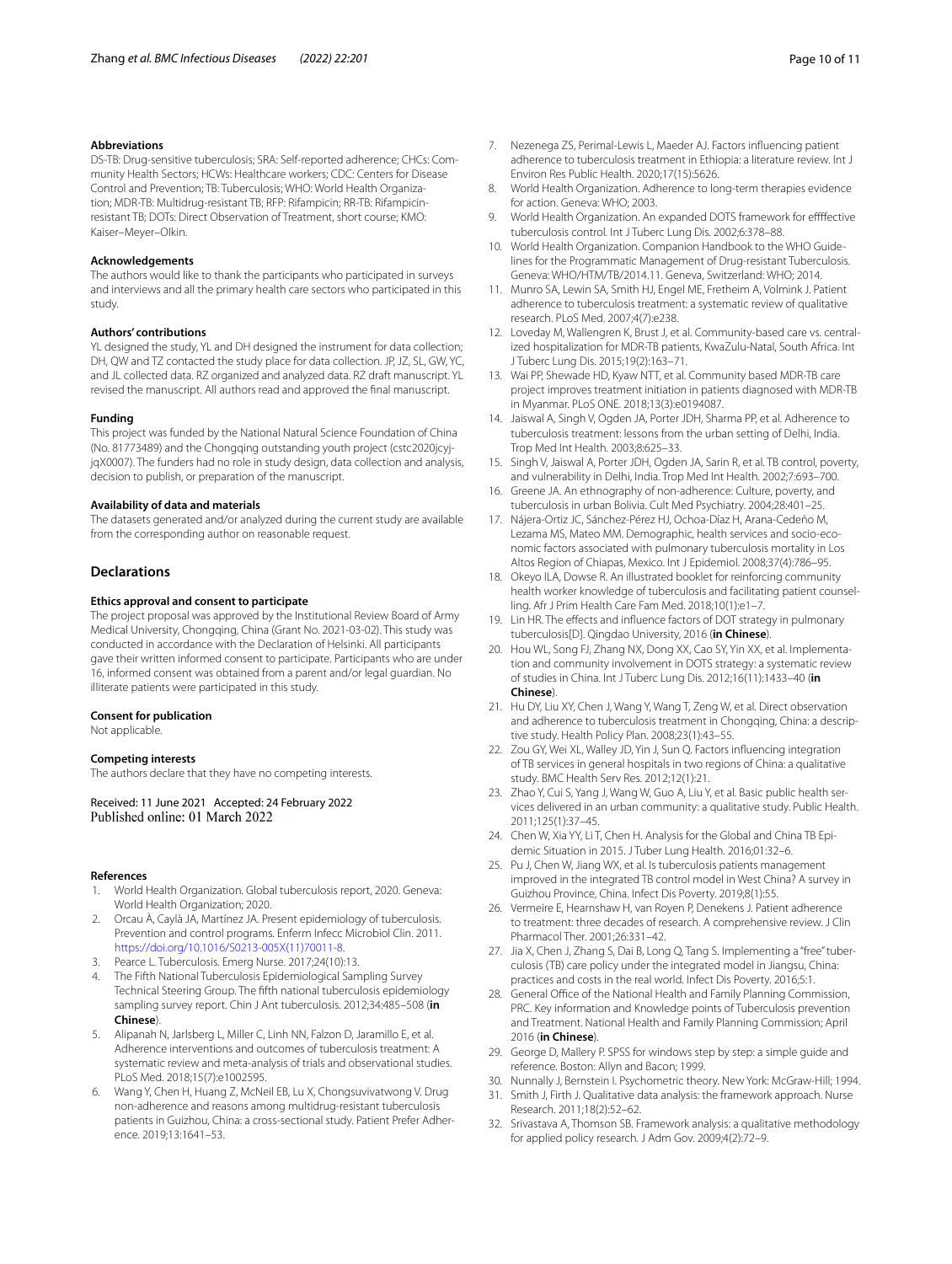#### **Abbreviations**

DS-TB: Drug-sensitive tuberculosis; SRA: Self-reported adherence; CHCs: Community Health Sectors; HCWs: Healthcare workers; CDC: Centers for Disease Control and Prevention; TB: Tuberculosis; WHO: World Health Organization; MDR-TB: Multidrug-resistant TB; RFP: Rifampicin; RR-TB: Rifampicinresistant TB; DOTs: Direct Observation of Treatment, short course; KMO: Kaiser–Meyer–Olkin.

#### **Acknowledgements**

The authors would like to thank the participants who participated in surveys and interviews and all the primary health care sectors who participated in this study.

#### **Authors' contributions**

YL designed the study, YL and DH designed the instrument for data collection; DH, QW and TZ contacted the study place for data collection. JP, JZ, SL, GW, YC, and JL collected data. RZ organized and analyzed data. RZ draft manuscript. YL revised the manuscript. All authors read and approved the fnal manuscript.

#### **Funding**

This project was funded by the National Natural Science Foundation of China (No. 81773489) and the Chongqing outstanding youth project (cstc2020jcyjjqX0007). The funders had no role in study design, data collection and analysis, decision to publish, or preparation of the manuscript.

#### **Availability of data and materials**

The datasets generated and/or analyzed during the current study are available from the corresponding author on reasonable request.

## **Declarations**

#### **Ethics approval and consent to participate**

The project proposal was approved by the Institutional Review Board of Army Medical University, Chongqing, China (Grant No. 2021-03-02). This study was conducted in accordance with the Declaration of Helsinki. All participants gave their written informed consent to participate. Participants who are under 16, informed consent was obtained from a parent and/or legal guardian. No illiterate patients were participated in this study.

#### **Consent for publication**

Not applicable.

#### **Competing interests**

The authors declare that they have no competing interests.

Received: 11 June 2021 Accepted: 24 February 2022

#### **References**

- <span id="page-9-0"></span>1. World Health Organization. Global tuberculosis report, 2020. Geneva: World Health Organization; 2020.
- <span id="page-9-1"></span>2. Orcau À, Caylà JA, Martínez JA. Present epidemiology of tuberculosis. Prevention and control programs. Enferm Infecc Microbiol Clin. 2011. [https://doi.org/10.1016/S0213-005X\(11\)70011-8](https://doi.org/10.1016/S0213-005X(11)70011-8).
- <span id="page-9-2"></span>3. Pearce L. Tuberculosis. Emerg Nurse. 2017;24(10):13.
- <span id="page-9-3"></span>4. The Fifth National Tuberculosis Epidemiological Sampling Survey Technical Steering Group. The ffth national tuberculosis epidemiology sampling survey report. Chin J Ant tuberculosis. 2012;34:485–508 (**in Chinese**).
- <span id="page-9-4"></span>5. Alipanah N, Jarlsberg L, Miller C, Linh NN, Falzon D, Jaramillo E, et al. Adherence interventions and outcomes of tuberculosis treatment: A systematic review and meta-analysis of trials and observational studies. PLoS Med. 2018;15(7):e1002595.
- <span id="page-9-5"></span>6. Wang Y, Chen H, Huang Z, McNeil EB, Lu X, Chongsuvivatwong V. Drug non-adherence and reasons among multidrug-resistant tuberculosis patients in Guizhou, China: a cross-sectional study. Patient Prefer Adherence. 2019;13:1641–53.
- <span id="page-9-6"></span>7. Nezenega ZS, Perimal-Lewis L, Maeder AJ. Factors infuencing patient adherence to tuberculosis treatment in Ethiopia: a literature review. Int J Environ Res Public Health. 2020;17(15):5626.
- <span id="page-9-7"></span>8. World Health Organization. Adherence to long-term therapies evidence for action. Geneva: WHO; 2003.
- <span id="page-9-8"></span>9. World Health Organization. An expanded DOTS framework for effffective tuberculosis control. Int J Tuberc Lung Dis. 2002;6:378–88.
- <span id="page-9-9"></span>10. World Health Organization. Companion Handbook to the WHO Guidelines for the Programmatic Management of Drug-resistant Tuberculosis. Geneva: WHO/HTM/TB/2014.11. Geneva, Switzerland: WHO; 2014.
- <span id="page-9-10"></span>11. Munro SA, Lewin SA, Smith HJ, Engel ME, Fretheim A, Volmink J. Patient adherence to tuberculosis treatment: a systematic review of qualitative research. PLoS Med. 2007;4(7):e238.
- 12. Loveday M, Wallengren K, Brust J, et al. Community-based care vs. centralized hospitalization for MDR-TB patients, KwaZulu-Natal, South Africa. Int J Tuberc Lung Dis. 2015;19(2):163–71.
- <span id="page-9-11"></span>13. Wai PP, Shewade HD, Kyaw NTT, et al. Community based MDR-TB care project improves treatment initiation in patients diagnosed with MDR-TB in Myanmar. PLoS ONE. 2018;13(3):e0194087.
- <span id="page-9-12"></span>14. Jaiswal A, Singh V, Ogden JA, Porter JDH, Sharma PP, et al. Adherence to tuberculosis treatment: lessons from the urban setting of Delhi, India. Trop Med Int Health. 2003;8:625–33.
- 15. Singh V, Jaiswal A, Porter JDH, Ogden JA, Sarin R, et al. TB control, poverty, and vulnerability in Delhi, India. Trop Med Int Health. 2002;7:693–700.
- 16. Greene JA. An ethnography of non-adherence: Culture, poverty, and tuberculosis in urban Bolivia. Cult Med Psychiatry. 2004;28:401–25.
- 17. Nájera-Ortiz JC, Sánchez-Pérez HJ, Ochoa-Díaz H, Arana-Cedeño M, Lezama MS, Mateo MM. Demographic, health services and socio-economic factors associated with pulmonary tuberculosis mortality in Los Altos Region of Chiapas, Mexico. Int J Epidemiol. 2008;37(4):786–95.
- <span id="page-9-13"></span>18. Okeyo ILA, Dowse R. An illustrated booklet for reinforcing community health worker knowledge of tuberculosis and facilitating patient counselling. Afr J Prim Health Care Fam Med. 2018;10(1):e1–7.
- <span id="page-9-14"></span>19. Lin HR. The efects and infuence factors of DOT strategy in pulmonary tuberculosis[D]. Qingdao University, 2016 (**in Chinese**).
- <span id="page-9-15"></span>20. Hou WL, Song FJ, Zhang NX, Dong XX, Cao SY, Yin XX, et al. Implementation and community involvement in DOTS strategy: a systematic review of studies in China. Int J Tuberc Lung Dis. 2012;16(11):1433–40 (**in Chinese**).
- <span id="page-9-16"></span>21. Hu DY, Liu XY, Chen J, Wang Y, Wang T, Zeng W, et al. Direct observation and adherence to tuberculosis treatment in Chongqing, China: a descriptive study. Health Policy Plan. 2008;23(1):43–55.
- <span id="page-9-17"></span>22. Zou GY, Wei XL, Walley JD, Yin J, Sun Q. Factors infuencing integration of TB services in general hospitals in two regions of China: a qualitative study. BMC Health Serv Res. 2012;12(1):21.
- <span id="page-9-18"></span>23. Zhao Y, Cui S, Yang J, Wang W, Guo A, Liu Y, et al. Basic public health services delivered in an urban community: a qualitative study. Public Health. 2011;125(1):37–45.
- <span id="page-9-19"></span>24. Chen W, Xia YY, Li T, Chen H. Analysis for the Global and China TB Epidemic Situation in 2015. J Tuber Lung Health. 2016;01:32–6.
- <span id="page-9-20"></span>25. Pu J, Chen W, Jiang WX, et al. Is tuberculosis patients management improved in the integrated TB control model in West China? A survey in Guizhou Province, China. Infect Dis Poverty. 2019;8(1):55.
- <span id="page-9-21"></span>26. Vermeire E, Hearnshaw H, van Royen P, Denekens J. Patient adherence to treatment: three decades of research. A comprehensive review. J Clin Pharmacol Ther. 2001;26:331–42.
- <span id="page-9-22"></span>27. Jia X, Chen J, Zhang S, Dai B, Long Q, Tang S. Implementing a "free" tuberculosis (TB) care policy under the integrated model in Jiangsu, China: practices and costs in the real world. Infect Dis Poverty. 2016;5:1.
- <span id="page-9-23"></span>28. General Office of the National Health and Family Planning Commission, PRC. Key information and Knowledge points of Tuberculosis prevention and Treatment. National Health and Family Planning Commission; April 2016 (**in Chinese**).
- <span id="page-9-24"></span>29. George D, Mallery P. SPSS for windows step by step: a simple guide and reference. Boston: Allyn and Bacon; 1999.
- <span id="page-9-25"></span>30. Nunnally J, Bernstein I. Psychometric theory. New York: McGraw-Hill; 1994.
- <span id="page-9-26"></span>31. Smith J, Firth J. Qualitative data analysis: the framework approach. Nurse Research. 2011;18(2):52–62.
- 32. Srivastava A, Thomson SB. Framework analysis: a qualitative methodology for applied policy research. J Adm Gov. 2009;4(2):72–9.